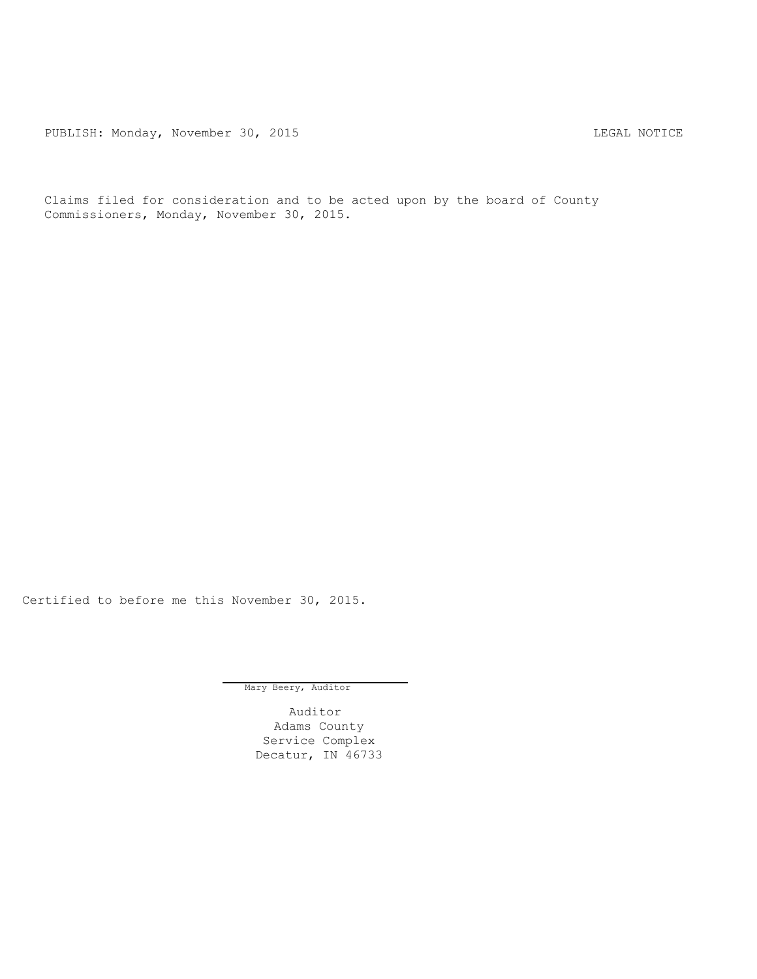PUBLISH: Monday, November 30, 2015 CHA CHANGE CONSERVATION CHANGE CONTROL PUBLISH: MOTICE

Claims filed for consideration and to be acted upon by the board of County Commissioners, Monday, November 30, 2015.

Certified to before me this November 30, 2015.

Mary Beery, Auditor

Auditor Adams County Service Complex Decatur, IN 46733